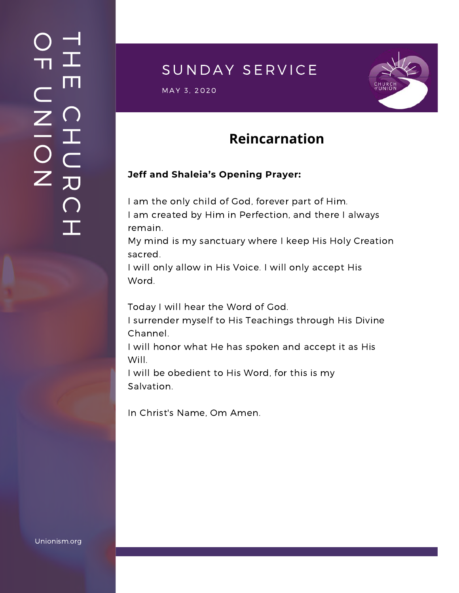### $\overline{\phantom{a}}$ H m.  $\bigcap$ H  $\subset$ 刀  $\bigcap$  $\mathbf{I}$  .  $\bigcirc$  $\blacksquare$  $\subset$  $\mathsf{Z}^+$ <u>In the Second Contract of the Second Contract of the International Second Contract of the International Second Contract of the International Second Contract of the International Second Contract of the International Second</u>  $\bigcirc$  $\mathsf{Z}^+$

### SUNDAY SERVICE

 $\textsf{MAX}(\texttt{3}, \texttt{2020}) = \textcolor{red}{\textbf{0.95}}$ 



# **Reincarnation**

#### **Jeff and Shaleia's Opening Prayer:**

I am the only child of God, forever part of Him. I am created by Him in Perfection, and there I always remain.

My mind is my sanctuary where I keep His Holy Creation sacred.

I will only allow in His Voice. I will only accept His Word.

Today I will hear the Word of God.

I surrender myself to His Teachings through His Divine Channel.

I will honor what He has spoken and accept it as His Will.

I will be obedient to His Word, for this is my Salvation.

In Christ's Name, Om Amen.